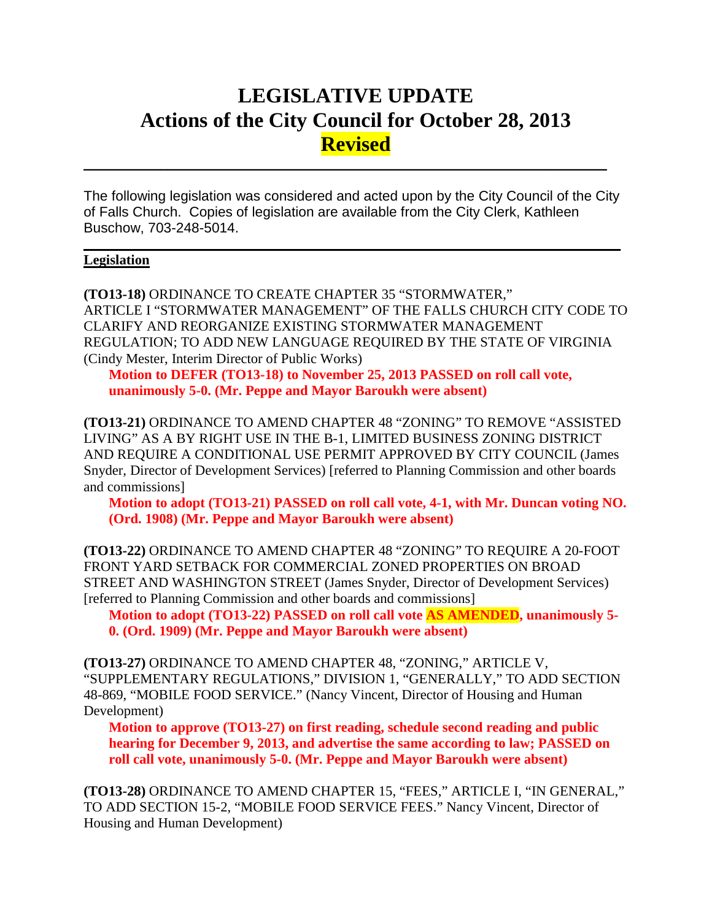# **LEGISLATIVE UPDATE Actions of the City Council for October 28, 2013 Revised**

The following legislation was considered and acted upon by the City Council of the City of Falls Church. Copies of legislation are available from the City Clerk, Kathleen Buschow, 703-248-5014.

 $\mathcal{L}_\mathcal{L} = \mathcal{L}_\mathcal{L} = \mathcal{L}_\mathcal{L} = \mathcal{L}_\mathcal{L} = \mathcal{L}_\mathcal{L} = \mathcal{L}_\mathcal{L} = \mathcal{L}_\mathcal{L} = \mathcal{L}_\mathcal{L} = \mathcal{L}_\mathcal{L} = \mathcal{L}_\mathcal{L} = \mathcal{L}_\mathcal{L} = \mathcal{L}_\mathcal{L} = \mathcal{L}_\mathcal{L} = \mathcal{L}_\mathcal{L} = \mathcal{L}_\mathcal{L} = \mathcal{L}_\mathcal{L} = \mathcal{L}_\mathcal{L}$ 

 $\mathcal{L}_\text{max}$  and  $\mathcal{L}_\text{max}$  and  $\mathcal{L}_\text{max}$  and  $\mathcal{L}_\text{max}$  and  $\mathcal{L}_\text{max}$  and  $\mathcal{L}_\text{max}$ 

#### **Legislation**

**(TO13-18)** ORDINANCE TO CREATE CHAPTER 35 "STORMWATER," ARTICLE I "STORMWATER MANAGEMENT" OF THE FALLS CHURCH CITY CODE TO CLARIFY AND REORGANIZE EXISTING STORMWATER MANAGEMENT REGULATION; TO ADD NEW LANGUAGE REQUIRED BY THE STATE OF VIRGINIA (Cindy Mester, Interim Director of Public Works)

**Motion to DEFER (TO13-18) to November 25, 2013 PASSED on roll call vote, unanimously 5-0. (Mr. Peppe and Mayor Baroukh were absent)**

**(TO13-21)** ORDINANCE TO AMEND CHAPTER 48 "ZONING" TO REMOVE "ASSISTED LIVING" AS A BY RIGHT USE IN THE B-1, LIMITED BUSINESS ZONING DISTRICT AND REQUIRE A CONDITIONAL USE PERMIT APPROVED BY CITY COUNCIL (James Snyder, Director of Development Services) [referred to Planning Commission and other boards and commissions]

**Motion to adopt (TO13-21) PASSED on roll call vote, 4-1, with Mr. Duncan voting NO. (Ord. 1908) (Mr. Peppe and Mayor Baroukh were absent)**

**(TO13-22)** ORDINANCE TO AMEND CHAPTER 48 "ZONING" TO REQUIRE A 20-FOOT FRONT YARD SETBACK FOR COMMERCIAL ZONED PROPERTIES ON BROAD STREET AND WASHINGTON STREET (James Snyder, Director of Development Services) [referred to Planning Commission and other boards and commissions]

**Motion to adopt (TO13-22) PASSED on roll call vote AS AMENDED, unanimously 5- 0. (Ord. 1909) (Mr. Peppe and Mayor Baroukh were absent)**

**(TO13-27)** ORDINANCE TO AMEND CHAPTER 48, "ZONING," ARTICLE V, "SUPPLEMENTARY REGULATIONS," DIVISION 1, "GENERALLY," TO ADD SECTION 48-869, "MOBILE FOOD SERVICE." (Nancy Vincent, Director of Housing and Human Development)

**Motion to approve (TO13-27) on first reading, schedule second reading and public hearing for December 9, 2013, and advertise the same according to law; PASSED on roll call vote, unanimously 5-0. (Mr. Peppe and Mayor Baroukh were absent)**

**(TO13-28)** ORDINANCE TO AMEND CHAPTER 15, "FEES," ARTICLE I, "IN GENERAL," TO ADD SECTION 15-2, "MOBILE FOOD SERVICE FEES." Nancy Vincent, Director of Housing and Human Development)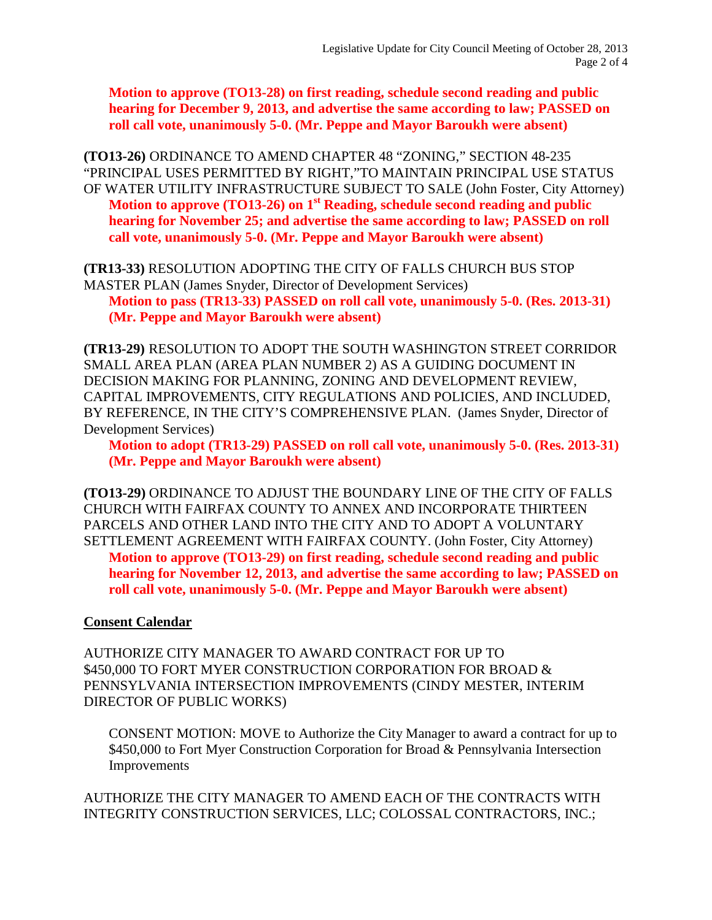**Motion to approve (TO13-28) on first reading, schedule second reading and public hearing for December 9, 2013, and advertise the same according to law; PASSED on roll call vote, unanimously 5-0. (Mr. Peppe and Mayor Baroukh were absent)**

**(TO13-26)** ORDINANCE TO AMEND CHAPTER 48 "ZONING," SECTION 48-235 "PRINCIPAL USES PERMITTED BY RIGHT,"TO MAINTAIN PRINCIPAL USE STATUS OF WATER UTILITY INFRASTRUCTURE SUBJECT TO SALE (John Foster, City Attorney) **Motion to approve (TO13-26) on 1<sup>st</sup> Reading, schedule second reading and public hearing for November 25; and advertise the same according to law; PASSED on roll call vote, unanimously 5-0. (Mr. Peppe and Mayor Baroukh were absent)**

**(TR13-33)** RESOLUTION ADOPTING THE CITY OF FALLS CHURCH BUS STOP MASTER PLAN (James Snyder, Director of Development Services) **Motion to pass (TR13-33) PASSED on roll call vote, unanimously 5-0. (Res. 2013-31) (Mr. Peppe and Mayor Baroukh were absent)**

**(TR13-29)** RESOLUTION TO ADOPT THE SOUTH WASHINGTON STREET CORRIDOR SMALL AREA PLAN (AREA PLAN NUMBER 2) AS A GUIDING DOCUMENT IN DECISION MAKING FOR PLANNING, ZONING AND DEVELOPMENT REVIEW, CAPITAL IMPROVEMENTS, CITY REGULATIONS AND POLICIES, AND INCLUDED, BY REFERENCE, IN THE CITY'S COMPREHENSIVE PLAN. (James Snyder, Director of Development Services)

**Motion to adopt (TR13-29) PASSED on roll call vote, unanimously 5-0. (Res. 2013-31) (Mr. Peppe and Mayor Baroukh were absent)**

**(TO13-29)** ORDINANCE TO ADJUST THE BOUNDARY LINE OF THE CITY OF FALLS CHURCH WITH FAIRFAX COUNTY TO ANNEX AND INCORPORATE THIRTEEN PARCELS AND OTHER LAND INTO THE CITY AND TO ADOPT A VOLUNTARY SETTLEMENT AGREEMENT WITH FAIRFAX COUNTY. (John Foster, City Attorney) **Motion to approve (TO13-29) on first reading, schedule second reading and public hearing for November 12, 2013, and advertise the same according to law; PASSED on roll call vote, unanimously 5-0. (Mr. Peppe and Mayor Baroukh were absent)**

#### **Consent Calendar**

AUTHORIZE CITY MANAGER TO AWARD CONTRACT FOR UP TO \$450,000 TO FORT MYER CONSTRUCTION CORPORATION FOR BROAD & PENNSYLVANIA INTERSECTION IMPROVEMENTS (CINDY MESTER, INTERIM DIRECTOR OF PUBLIC WORKS)

CONSENT MOTION: MOVE to Authorize the City Manager to award a contract for up to \$450,000 to Fort Myer Construction Corporation for Broad & Pennsylvania Intersection Improvements

AUTHORIZE THE CITY MANAGER TO AMEND EACH OF THE CONTRACTS WITH INTEGRITY CONSTRUCTION SERVICES, LLC; COLOSSAL CONTRACTORS, INC.;